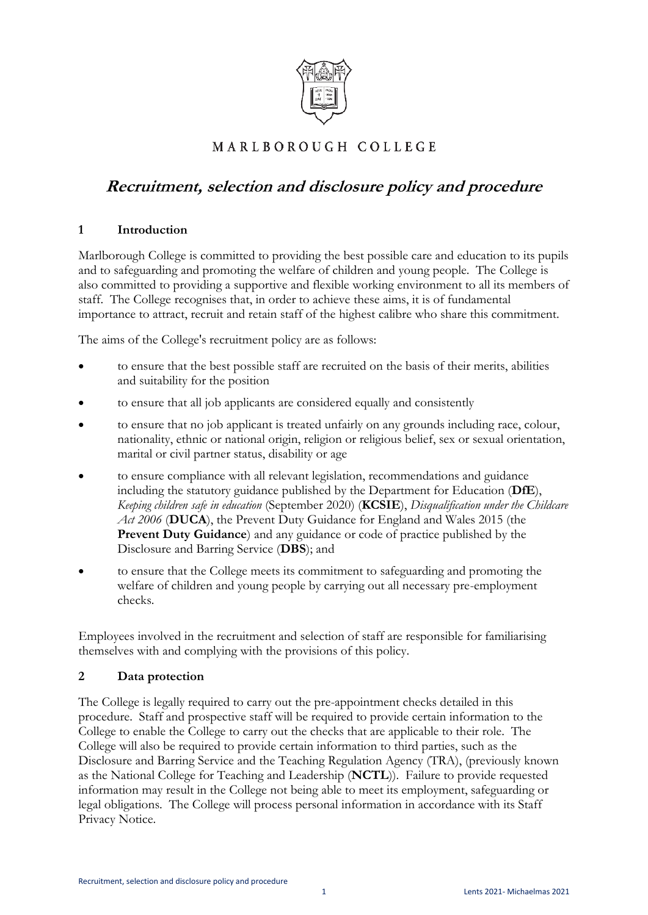

# MARLBOROUGH COLLEGE

# **Recruitment, selection and disclosure policy and procedure**

### **1 Introduction**

Marlborough College is committed to providing the best possible care and education to its pupils and to safeguarding and promoting the welfare of children and young people. The College is also committed to providing a supportive and flexible working environment to all its members of staff. The College recognises that, in order to achieve these aims, it is of fundamental importance to attract, recruit and retain staff of the highest calibre who share this commitment.

The aims of the College's recruitment policy are as follows:

- to ensure that the best possible staff are recruited on the basis of their merits, abilities and suitability for the position
- to ensure that all job applicants are considered equally and consistently
- to ensure that no job applicant is treated unfairly on any grounds including race, colour, nationality, ethnic or national origin, religion or religious belief, sex or sexual orientation, marital or civil partner status, disability or age
- to ensure compliance with all relevant legislation, recommendations and guidance including the statutory guidance published by the Department for Education (**DfE**), *Keeping children safe in education* (September 2020) (**KCSIE**), *Disqualification under the Childcare Act 2006* (**DUCA**), the Prevent Duty Guidance for England and Wales 2015 (the **Prevent Duty Guidance**) and any guidance or code of practice published by the Disclosure and Barring Service (**DBS**); and
- to ensure that the College meets its commitment to safeguarding and promoting the welfare of children and young people by carrying out all necessary pre-employment checks.

Employees involved in the recruitment and selection of staff are responsible for familiarising themselves with and complying with the provisions of this policy.

# **2 Data protection**

The College is legally required to carry out the pre-appointment checks detailed in this procedure. Staff and prospective staff will be required to provide certain information to the College to enable the College to carry out the checks that are applicable to their role. The College will also be required to provide certain information to third parties, such as the Disclosure and Barring Service and the Teaching Regulation Agency (TRA), (previously known as the National College for Teaching and Leadership (**NCTL**)). Failure to provide requested information may result in the College not being able to meet its employment, safeguarding or legal obligations. The College will process personal information in accordance with its Staff Privacy Notice.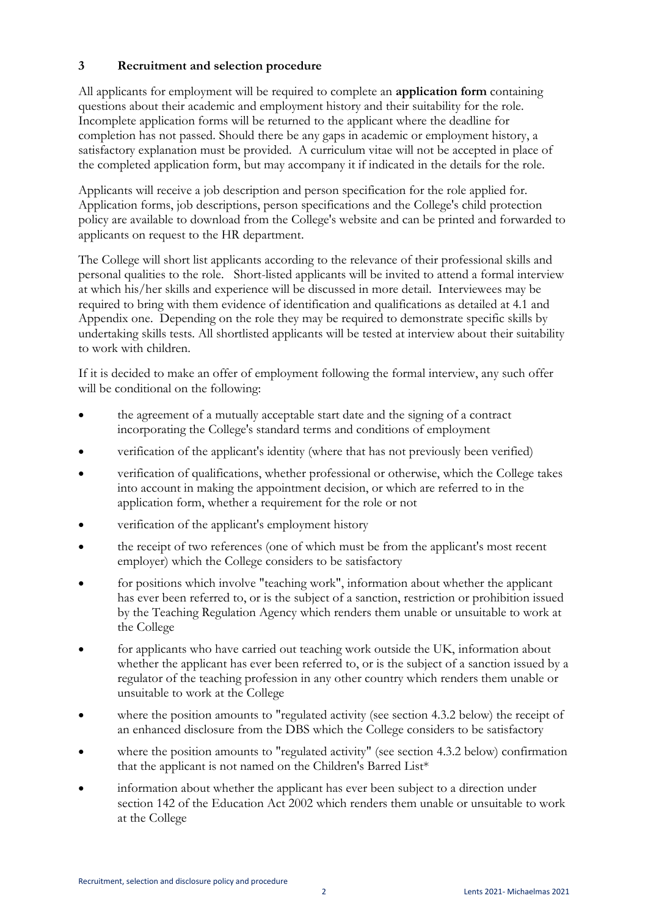# **3 Recruitment and selection procedure**

All applicants for employment will be required to complete an **application form** containing questions about their academic and employment history and their suitability for the role. Incomplete application forms will be returned to the applicant where the deadline for completion has not passed. Should there be any gaps in academic or employment history, a satisfactory explanation must be provided. A curriculum vitae will not be accepted in place of the completed application form, but may accompany it if indicated in the details for the role.

Applicants will receive a job description and person specification for the role applied for. Application forms, job descriptions, person specifications and the College's child protection policy are available to download from the College's website and can be printed and forwarded to applicants on request to the HR department.

The College will short list applicants according to the relevance of their professional skills and personal qualities to the role. Short-listed applicants will be invited to attend a formal interview at which his/her skills and experience will be discussed in more detail. Interviewees may be required to bring with them evidence of identification and qualifications as detailed at 4.1 and Appendix one. Depending on the role they may be required to demonstrate specific skills by undertaking skills tests. All shortlisted applicants will be tested at interview about their suitability to work with children.

If it is decided to make an offer of employment following the formal interview, any such offer will be conditional on the following:

- the agreement of a mutually acceptable start date and the signing of a contract incorporating the College's standard terms and conditions of employment
- verification of the applicant's identity (where that has not previously been verified)
- verification of qualifications, whether professional or otherwise, which the College takes into account in making the appointment decision, or which are referred to in the application form, whether a requirement for the role or not
- verification of the applicant's employment history
- the receipt of two references (one of which must be from the applicant's most recent employer) which the College considers to be satisfactory
- for positions which involve "teaching work", information about whether the applicant has ever been referred to, or is the subject of a sanction, restriction or prohibition issued by the Teaching Regulation Agency which renders them unable or unsuitable to work at the College
- for applicants who have carried out teaching work outside the UK, information about whether the applicant has ever been referred to, or is the subject of a sanction issued by a regulator of the teaching profession in any other country which renders them unable or unsuitable to work at the College
- where the position amounts to "regulated activity (see section 4.3.2 below) the receipt of an enhanced disclosure from the DBS which the College considers to be satisfactory
- where the position amounts to "regulated activity" (see section 4.3.2 below) confirmation that the applicant is not named on the Children's Barred List\*
- information about whether the applicant has ever been subject to a direction under section 142 of the Education Act 2002 which renders them unable or unsuitable to work at the College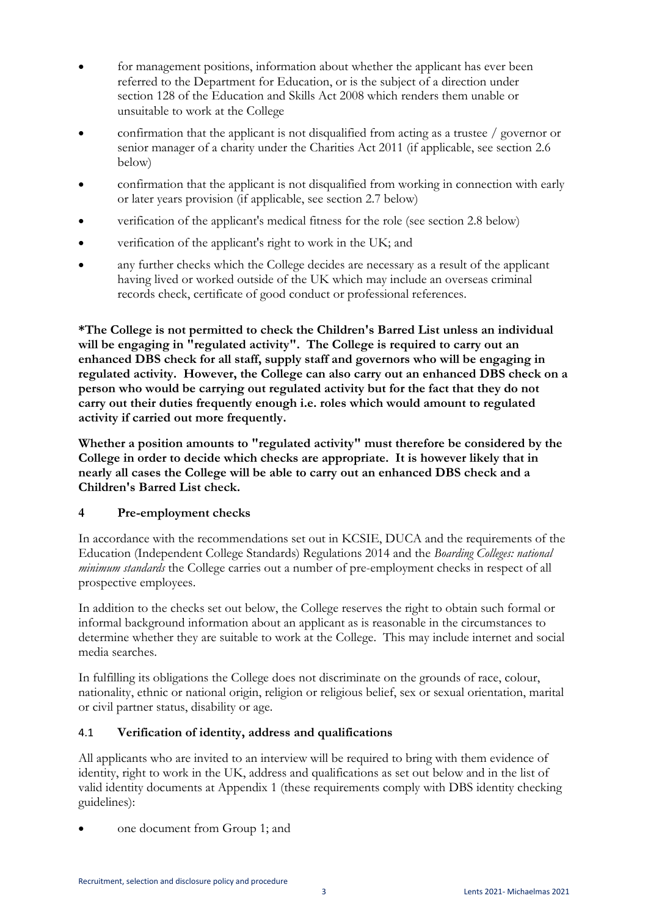- for management positions, information about whether the applicant has ever been referred to the Department for Education, or is the subject of a direction under section 128 of the Education and Skills Act 2008 which renders them unable or unsuitable to work at the College
- confirmation that the applicant is not disqualified from acting as a trustee / governor or senior manager of a charity under the Charities Act 2011 (if applicable, see section 2.6 below)
- confirmation that the applicant is not disqualified from working in connection with early or later years provision (if applicable, see section 2.7 below)
- verification of the applicant's medical fitness for the role (see section 2.8 below)
- verification of the applicant's right to work in the UK; and
- any further checks which the College decides are necessary as a result of the applicant having lived or worked outside of the UK which may include an overseas criminal records check, certificate of good conduct or professional references.

**\*The College is not permitted to check the Children's Barred List unless an individual will be engaging in "regulated activity". The College is required to carry out an enhanced DBS check for all staff, supply staff and governors who will be engaging in regulated activity. However, the College can also carry out an enhanced DBS check on a person who would be carrying out regulated activity but for the fact that they do not carry out their duties frequently enough i.e. roles which would amount to regulated activity if carried out more frequently.** 

**Whether a position amounts to "regulated activity" must therefore be considered by the College in order to decide which checks are appropriate. It is however likely that in nearly all cases the College will be able to carry out an enhanced DBS check and a Children's Barred List check.** 

# **4 Pre-employment checks**

In accordance with the recommendations set out in KCSIE, DUCA and the requirements of the Education (Independent College Standards) Regulations 2014 and the *Boarding Colleges: national minimum standards* the College carries out a number of pre-employment checks in respect of all prospective employees.

In addition to the checks set out below, the College reserves the right to obtain such formal or informal background information about an applicant as is reasonable in the circumstances to determine whether they are suitable to work at the College. This may include internet and social media searches.

In fulfilling its obligations the College does not discriminate on the grounds of race, colour, nationality, ethnic or national origin, religion or religious belief, sex or sexual orientation, marital or civil partner status, disability or age.

# 4.1 **Verification of identity, address and qualifications**

All applicants who are invited to an interview will be required to bring with them evidence of identity, right to work in the UK, address and qualifications as set out below and in the list of valid identity documents at Appendix 1 (these requirements comply with DBS identity checking guidelines):

one document from Group 1; and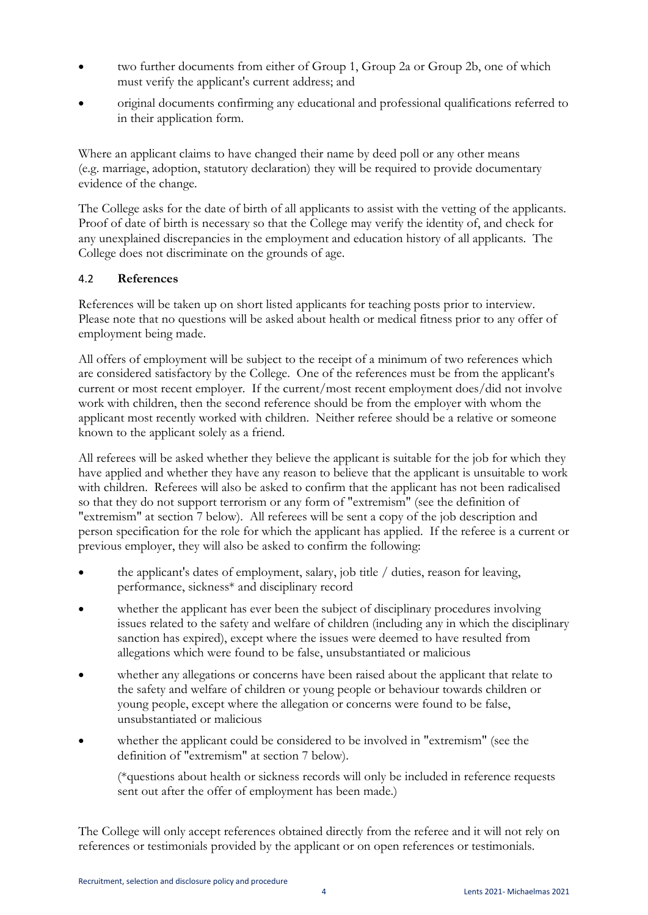- two further documents from either of Group 1, Group 2a or Group 2b, one of which must verify the applicant's current address; and
- original documents confirming any educational and professional qualifications referred to in their application form.

Where an applicant claims to have changed their name by deed poll or any other means (e.g. marriage, adoption, statutory declaration) they will be required to provide documentary evidence of the change.

The College asks for the date of birth of all applicants to assist with the vetting of the applicants. Proof of date of birth is necessary so that the College may verify the identity of, and check for any unexplained discrepancies in the employment and education history of all applicants. The College does not discriminate on the grounds of age.

# 4.2 **References**

References will be taken up on short listed applicants for teaching posts prior to interview. Please note that no questions will be asked about health or medical fitness prior to any offer of employment being made.

All offers of employment will be subject to the receipt of a minimum of two references which are considered satisfactory by the College. One of the references must be from the applicant's current or most recent employer. If the current/most recent employment does/did not involve work with children, then the second reference should be from the employer with whom the applicant most recently worked with children. Neither referee should be a relative or someone known to the applicant solely as a friend.

All referees will be asked whether they believe the applicant is suitable for the job for which they have applied and whether they have any reason to believe that the applicant is unsuitable to work with children. Referees will also be asked to confirm that the applicant has not been radicalised so that they do not support terrorism or any form of "extremism" (see the definition of "extremism" at section 7 below). All referees will be sent a copy of the job description and person specification for the role for which the applicant has applied. If the referee is a current or previous employer, they will also be asked to confirm the following:

- the applicant's dates of employment, salary, job title / duties, reason for leaving, performance, sickness\* and disciplinary record
- whether the applicant has ever been the subject of disciplinary procedures involving issues related to the safety and welfare of children (including any in which the disciplinary sanction has expired), except where the issues were deemed to have resulted from allegations which were found to be false, unsubstantiated or malicious
- whether any allegations or concerns have been raised about the applicant that relate to the safety and welfare of children or young people or behaviour towards children or young people, except where the allegation or concerns were found to be false, unsubstantiated or malicious
- whether the applicant could be considered to be involved in "extremism" (see the definition of "extremism" at section 7 below).

(\*questions about health or sickness records will only be included in reference requests sent out after the offer of employment has been made.)

The College will only accept references obtained directly from the referee and it will not rely on references or testimonials provided by the applicant or on open references or testimonials.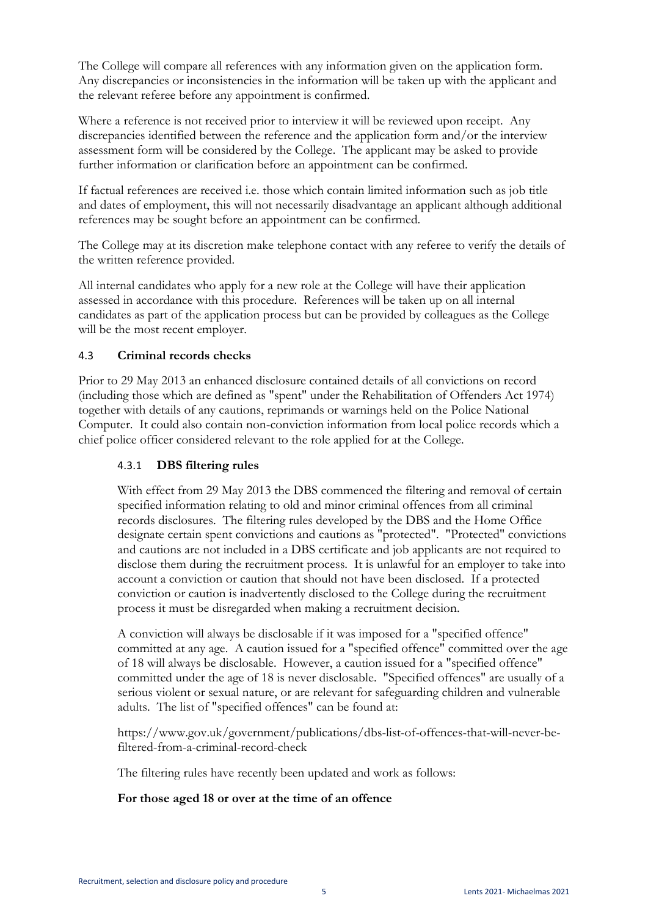The College will compare all references with any information given on the application form. Any discrepancies or inconsistencies in the information will be taken up with the applicant and the relevant referee before any appointment is confirmed.

Where a reference is not received prior to interview it will be reviewed upon receipt. Any discrepancies identified between the reference and the application form and/or the interview assessment form will be considered by the College. The applicant may be asked to provide further information or clarification before an appointment can be confirmed.

If factual references are received i.e. those which contain limited information such as job title and dates of employment, this will not necessarily disadvantage an applicant although additional references may be sought before an appointment can be confirmed.

The College may at its discretion make telephone contact with any referee to verify the details of the written reference provided.

All internal candidates who apply for a new role at the College will have their application assessed in accordance with this procedure. References will be taken up on all internal candidates as part of the application process but can be provided by colleagues as the College will be the most recent employer.

### 4.3 **Criminal records checks**

Prior to 29 May 2013 an enhanced disclosure contained details of all convictions on record (including those which are defined as "spent" under the Rehabilitation of Offenders Act 1974) together with details of any cautions, reprimands or warnings held on the Police National Computer. It could also contain non-conviction information from local police records which a chief police officer considered relevant to the role applied for at the College.

#### 4.3.1 **DBS filtering rules**

With effect from 29 May 2013 the DBS commenced the filtering and removal of certain specified information relating to old and minor criminal offences from all criminal records disclosures. The filtering rules developed by the DBS and the Home Office designate certain spent convictions and cautions as "protected". "Protected" convictions and cautions are not included in a DBS certificate and job applicants are not required to disclose them during the recruitment process. It is unlawful for an employer to take into account a conviction or caution that should not have been disclosed. If a protected conviction or caution is inadvertently disclosed to the College during the recruitment process it must be disregarded when making a recruitment decision.

A conviction will always be disclosable if it was imposed for a "specified offence" committed at any age. A caution issued for a "specified offence" committed over the age of 18 will always be disclosable. However, a caution issued for a "specified offence" committed under the age of 18 is never disclosable. "Specified offences" are usually of a serious violent or sexual nature, or are relevant for safeguarding children and vulnerable adults. The list of "specified offences" can be found at:

https://www.gov.uk/government/publications/dbs-list-of-offences-that-will-never-befiltered-from-a-criminal-record-check

The filtering rules have recently been updated and work as follows:

#### **For those aged 18 or over at the time of an offence**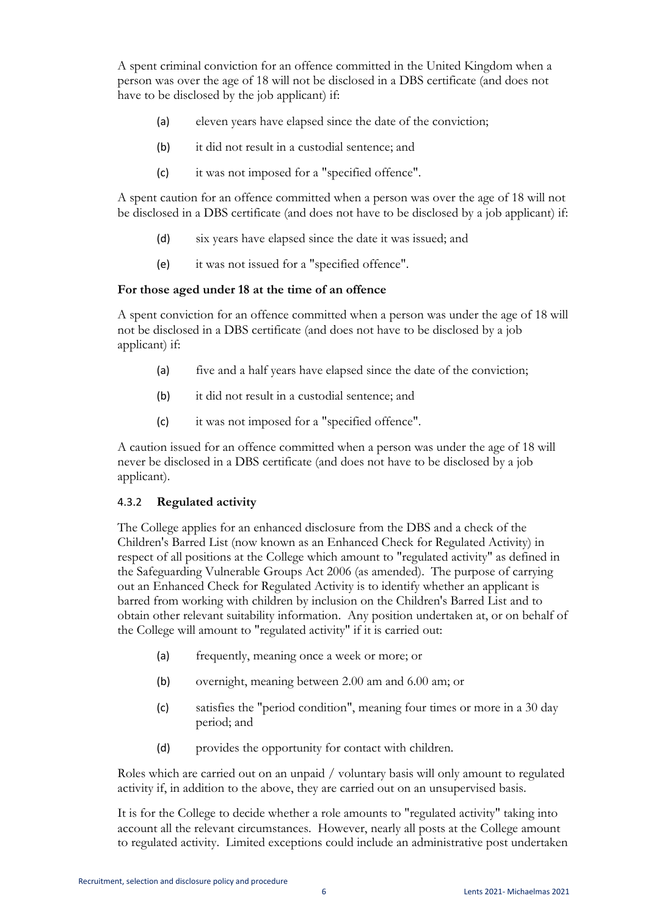A spent criminal conviction for an offence committed in the United Kingdom when a person was over the age of 18 will not be disclosed in a DBS certificate (and does not have to be disclosed by the job applicant) if:

- (a) eleven years have elapsed since the date of the conviction;
- (b) it did not result in a custodial sentence; and
- (c) it was not imposed for a "specified offence".

A spent caution for an offence committed when a person was over the age of 18 will not be disclosed in a DBS certificate (and does not have to be disclosed by a job applicant) if:

- (d) six years have elapsed since the date it was issued; and
- (e) it was not issued for a "specified offence".

#### **For those aged under 18 at the time of an offence**

A spent conviction for an offence committed when a person was under the age of 18 will not be disclosed in a DBS certificate (and does not have to be disclosed by a job applicant) if:

- (a) five and a half years have elapsed since the date of the conviction;
- (b) it did not result in a custodial sentence; and
- (c) it was not imposed for a "specified offence".

A caution issued for an offence committed when a person was under the age of 18 will never be disclosed in a DBS certificate (and does not have to be disclosed by a job applicant).

#### 4.3.2 **Regulated activity**

The College applies for an enhanced disclosure from the DBS and a check of the Children's Barred List (now known as an Enhanced Check for Regulated Activity) in respect of all positions at the College which amount to "regulated activity" as defined in the Safeguarding Vulnerable Groups Act 2006 (as amended). The purpose of carrying out an Enhanced Check for Regulated Activity is to identify whether an applicant is barred from working with children by inclusion on the Children's Barred List and to obtain other relevant suitability information. Any position undertaken at, or on behalf of the College will amount to "regulated activity" if it is carried out:

- (a) frequently, meaning once a week or more; or
- (b) overnight, meaning between 2.00 am and 6.00 am; or
- (c) satisfies the "period condition", meaning four times or more in a 30 day period; and
- (d) provides the opportunity for contact with children.

Roles which are carried out on an unpaid / voluntary basis will only amount to regulated activity if, in addition to the above, they are carried out on an unsupervised basis.

It is for the College to decide whether a role amounts to "regulated activity" taking into account all the relevant circumstances. However, nearly all posts at the College amount to regulated activity. Limited exceptions could include an administrative post undertaken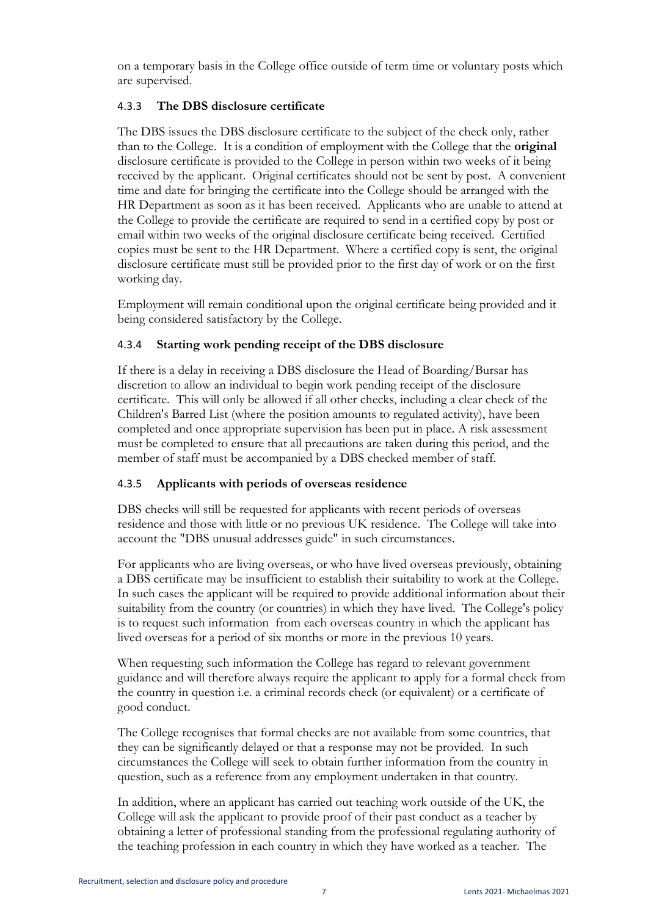on a temporary basis in the College office outside of term time or voluntary posts which are supervised.

### 4.3.3 **The DBS disclosure certificate**

The DBS issues the DBS disclosure certificate to the subject of the check only, rather than to the College. It is a condition of employment with the College that the **original** disclosure certificate is provided to the College in person within two weeks of it being received by the applicant. Original certificates should not be sent by post. A convenient time and date for bringing the certificate into the College should be arranged with the HR Department as soon as it has been received. Applicants who are unable to attend at the College to provide the certificate are required to send in a certified copy by post or email within two weeks of the original disclosure certificate being received. Certified copies must be sent to the HR Department. Where a certified copy is sent, the original disclosure certificate must still be provided prior to the first day of work or on the first working day.

Employment will remain conditional upon the original certificate being provided and it being considered satisfactory by the College.

### 4.3.4 **Starting work pending receipt of the DBS disclosure**

If there is a delay in receiving a DBS disclosure the Head of Boarding/Bursar has discretion to allow an individual to begin work pending receipt of the disclosure certificate. This will only be allowed if all other checks, including a clear check of the Children's Barred List (where the position amounts to regulated activity), have been completed and once appropriate supervision has been put in place. A risk assessment must be completed to ensure that all precautions are taken during this period, and the member of staff must be accompanied by a DBS checked member of staff.

#### 4.3.5 **Applicants with periods of overseas residence**

DBS checks will still be requested for applicants with recent periods of overseas residence and those with little or no previous UK residence. The College will take into account the "DBS unusual addresses guide" in such circumstances.

For applicants who are living overseas, or who have lived overseas previously, obtaining a DBS certificate may be insufficient to establish their suitability to work at the College. In such cases the applicant will be required to provide additional information about their suitability from the country (or countries) in which they have lived. The College's policy is to request such information from each overseas country in which the applicant has lived overseas for a period of six months or more in the previous 10 years.

When requesting such information the College has regard to relevant government guidance and will therefore always require the applicant to apply for a formal check from the country in question i.e. a criminal records check (or equivalent) or a certificate of good conduct.

The College recognises that formal checks are not available from some countries, that they can be significantly delayed or that a response may not be provided. In such circumstances the College will seek to obtain further information from the country in question, such as a reference from any employment undertaken in that country.

In addition, where an applicant has carried out teaching work outside of the UK, the College will ask the applicant to provide proof of their past conduct as a teacher by obtaining a letter of professional standing from the professional regulating authority of the teaching profession in each country in which they have worked as a teacher. The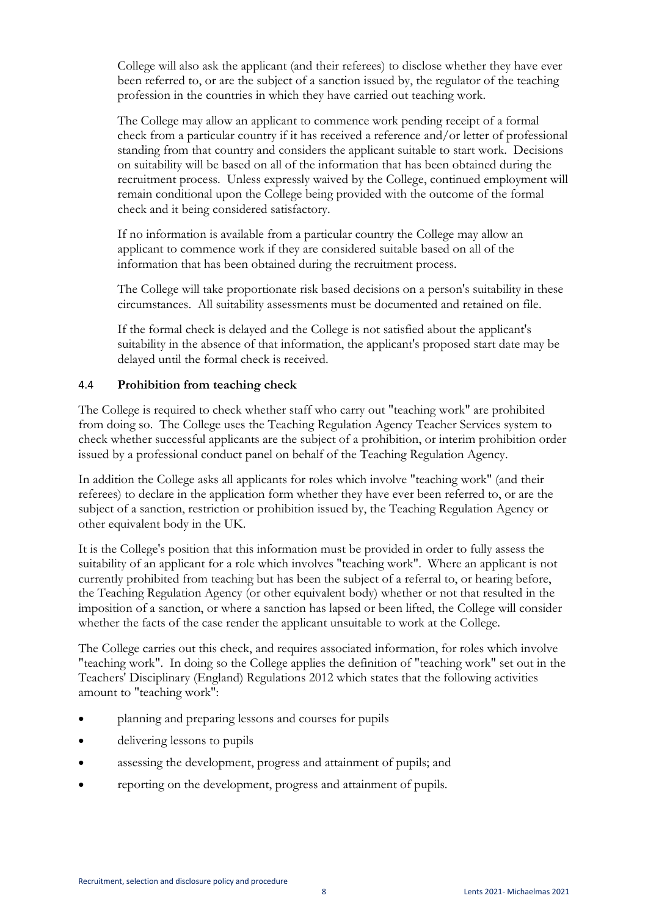College will also ask the applicant (and their referees) to disclose whether they have ever been referred to, or are the subject of a sanction issued by, the regulator of the teaching profession in the countries in which they have carried out teaching work.

The College may allow an applicant to commence work pending receipt of a formal check from a particular country if it has received a reference and/or letter of professional standing from that country and considers the applicant suitable to start work. Decisions on suitability will be based on all of the information that has been obtained during the recruitment process. Unless expressly waived by the College, continued employment will remain conditional upon the College being provided with the outcome of the formal check and it being considered satisfactory.

If no information is available from a particular country the College may allow an applicant to commence work if they are considered suitable based on all of the information that has been obtained during the recruitment process.

The College will take proportionate risk based decisions on a person's suitability in these circumstances. All suitability assessments must be documented and retained on file.

If the formal check is delayed and the College is not satisfied about the applicant's suitability in the absence of that information, the applicant's proposed start date may be delayed until the formal check is received.

### 4.4 **Prohibition from teaching check**

The College is required to check whether staff who carry out "teaching work" are prohibited from doing so. The College uses the Teaching Regulation Agency Teacher Services system to check whether successful applicants are the subject of a prohibition, or interim prohibition order issued by a professional conduct panel on behalf of the Teaching Regulation Agency.

In addition the College asks all applicants for roles which involve "teaching work" (and their referees) to declare in the application form whether they have ever been referred to, or are the subject of a sanction, restriction or prohibition issued by, the Teaching Regulation Agency or other equivalent body in the UK.

It is the College's position that this information must be provided in order to fully assess the suitability of an applicant for a role which involves "teaching work". Where an applicant is not currently prohibited from teaching but has been the subject of a referral to, or hearing before, the Teaching Regulation Agency (or other equivalent body) whether or not that resulted in the imposition of a sanction, or where a sanction has lapsed or been lifted, the College will consider whether the facts of the case render the applicant unsuitable to work at the College.

The College carries out this check, and requires associated information, for roles which involve "teaching work". In doing so the College applies the definition of "teaching work" set out in the Teachers' Disciplinary (England) Regulations 2012 which states that the following activities amount to "teaching work":

- planning and preparing lessons and courses for pupils
- delivering lessons to pupils
- assessing the development, progress and attainment of pupils; and
- reporting on the development, progress and attainment of pupils.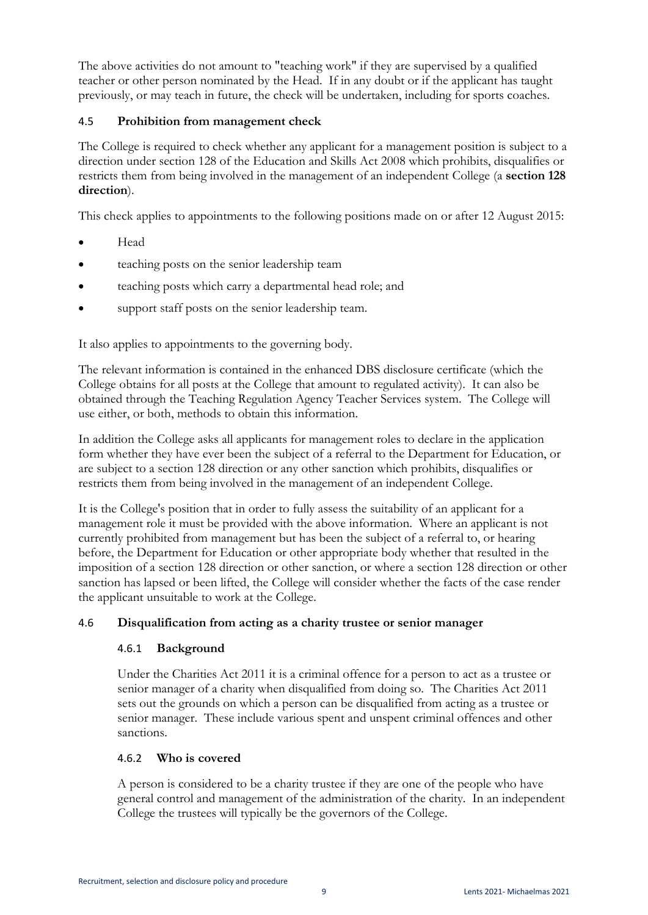The above activities do not amount to "teaching work" if they are supervised by a qualified teacher or other person nominated by the Head. If in any doubt or if the applicant has taught previously, or may teach in future, the check will be undertaken, including for sports coaches.

# 4.5 **Prohibition from management check**

The College is required to check whether any applicant for a management position is subject to a direction under section 128 of the Education and Skills Act 2008 which prohibits, disqualifies or restricts them from being involved in the management of an independent College (a **section 128 direction**).

This check applies to appointments to the following positions made on or after 12 August 2015:

- Head
- **•** teaching posts on the senior leadership team
- teaching posts which carry a departmental head role; and
- support staff posts on the senior leadership team.

It also applies to appointments to the governing body.

The relevant information is contained in the enhanced DBS disclosure certificate (which the College obtains for all posts at the College that amount to regulated activity). It can also be obtained through the Teaching Regulation Agency Teacher Services system. The College will use either, or both, methods to obtain this information.

In addition the College asks all applicants for management roles to declare in the application form whether they have ever been the subject of a referral to the Department for Education, or are subject to a section 128 direction or any other sanction which prohibits, disqualifies or restricts them from being involved in the management of an independent College.

It is the College's position that in order to fully assess the suitability of an applicant for a management role it must be provided with the above information. Where an applicant is not currently prohibited from management but has been the subject of a referral to, or hearing before, the Department for Education or other appropriate body whether that resulted in the imposition of a section 128 direction or other sanction, or where a section 128 direction or other sanction has lapsed or been lifted, the College will consider whether the facts of the case render the applicant unsuitable to work at the College.

# 4.6 **Disqualification from acting as a charity trustee or senior manager**

# 4.6.1 **Background**

Under the Charities Act 2011 it is a criminal offence for a person to act as a trustee or senior manager of a charity when disqualified from doing so. The Charities Act 2011 sets out the grounds on which a person can be disqualified from acting as a trustee or senior manager. These include various spent and unspent criminal offences and other sanctions.

# 4.6.2 **Who is covered**

A person is considered to be a charity trustee if they are one of the people who have general control and management of the administration of the charity. In an independent College the trustees will typically be the governors of the College.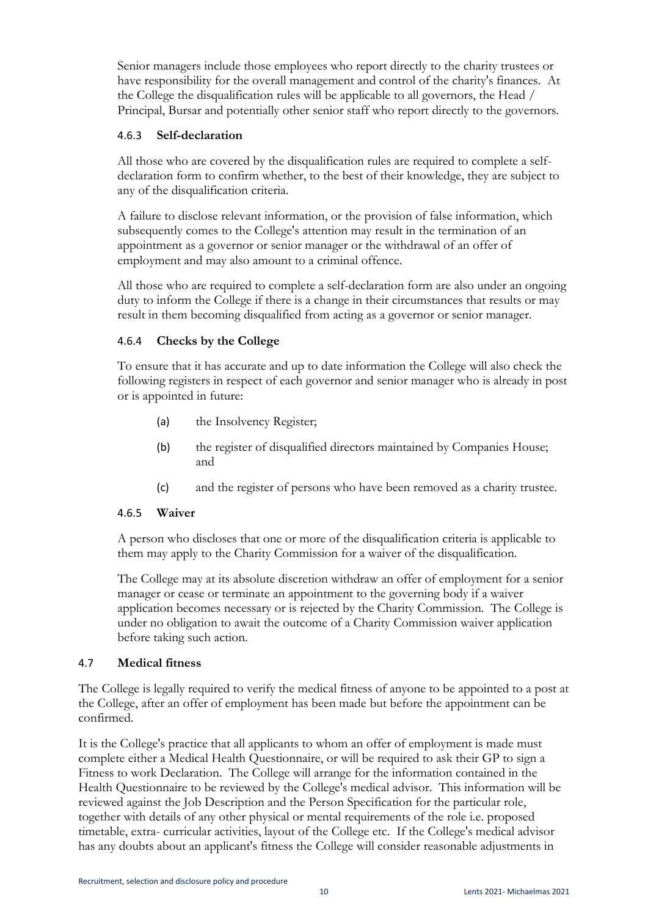Senior managers include those employees who report directly to the charity trustees or have responsibility for the overall management and control of the charity's finances. At the College the disqualification rules will be applicable to all governors, the Head / Principal, Bursar and potentially other senior staff who report directly to the governors.

### 4.6.3 **Self-declaration**

All those who are covered by the disqualification rules are required to complete a selfdeclaration form to confirm whether, to the best of their knowledge, they are subject to any of the disqualification criteria.

A failure to disclose relevant information, or the provision of false information, which subsequently comes to the College's attention may result in the termination of an appointment as a governor or senior manager or the withdrawal of an offer of employment and may also amount to a criminal offence.

All those who are required to complete a self-declaration form are also under an ongoing duty to inform the College if there is a change in their circumstances that results or may result in them becoming disqualified from acting as a governor or senior manager.

### 4.6.4 **Checks by the College**

To ensure that it has accurate and up to date information the College will also check the following registers in respect of each governor and senior manager who is already in post or is appointed in future:

- (a) the Insolvency Register;
- (b) the register of disqualified directors maintained by Companies House; and
- (c) and the register of persons who have been removed as a charity trustee.

#### 4.6.5 **Waiver**

A person who discloses that one or more of the disqualification criteria is applicable to them may apply to the Charity Commission for a waiver of the disqualification.

The College may at its absolute discretion withdraw an offer of employment for a senior manager or cease or terminate an appointment to the governing body if a waiver application becomes necessary or is rejected by the Charity Commission. The College is under no obligation to await the outcome of a Charity Commission waiver application before taking such action.

#### 4.7 **Medical fitness**

The College is legally required to verify the medical fitness of anyone to be appointed to a post at the College, after an offer of employment has been made but before the appointment can be confirmed.

It is the College's practice that all applicants to whom an offer of employment is made must complete either a Medical Health Questionnaire, or will be required to ask their GP to sign a Fitness to work Declaration. The College will arrange for the information contained in the Health Questionnaire to be reviewed by the College's medical advisor. This information will be reviewed against the Job Description and the Person Specification for the particular role, together with details of any other physical or mental requirements of the role i.e. proposed timetable, extra- curricular activities, layout of the College etc. If the College's medical advisor has any doubts about an applicant's fitness the College will consider reasonable adjustments in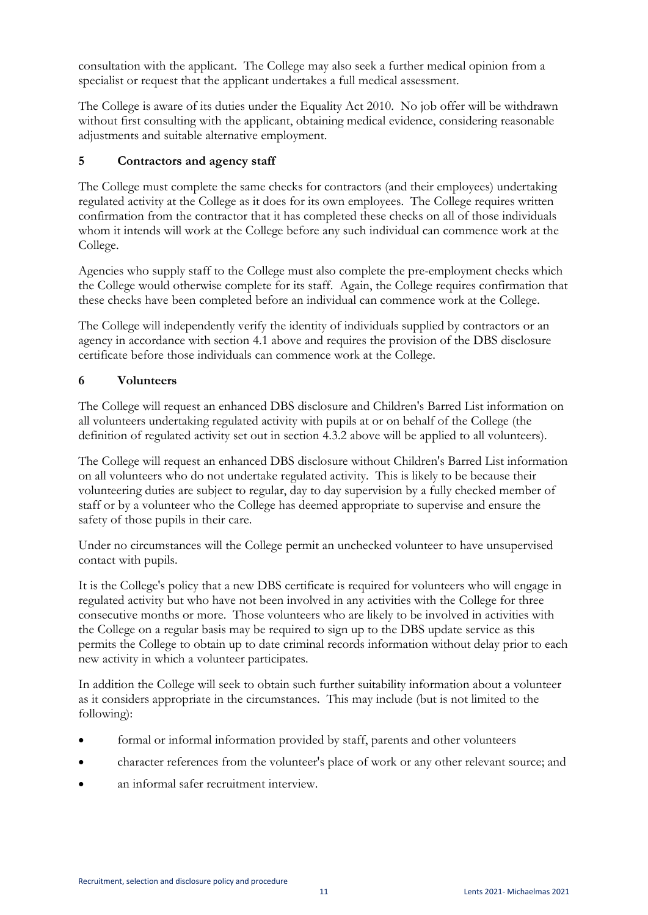consultation with the applicant. The College may also seek a further medical opinion from a specialist or request that the applicant undertakes a full medical assessment.

The College is aware of its duties under the Equality Act 2010. No job offer will be withdrawn without first consulting with the applicant, obtaining medical evidence, considering reasonable adjustments and suitable alternative employment.

# **5 Contractors and agency staff**

The College must complete the same checks for contractors (and their employees) undertaking regulated activity at the College as it does for its own employees. The College requires written confirmation from the contractor that it has completed these checks on all of those individuals whom it intends will work at the College before any such individual can commence work at the College.

Agencies who supply staff to the College must also complete the pre-employment checks which the College would otherwise complete for its staff. Again, the College requires confirmation that these checks have been completed before an individual can commence work at the College.

The College will independently verify the identity of individuals supplied by contractors or an agency in accordance with section 4.1 above and requires the provision of the DBS disclosure certificate before those individuals can commence work at the College.

# **6 Volunteers**

The College will request an enhanced DBS disclosure and Children's Barred List information on all volunteers undertaking regulated activity with pupils at or on behalf of the College (the definition of regulated activity set out in section 4.3.2 above will be applied to all volunteers).

The College will request an enhanced DBS disclosure without Children's Barred List information on all volunteers who do not undertake regulated activity. This is likely to be because their volunteering duties are subject to regular, day to day supervision by a fully checked member of staff or by a volunteer who the College has deemed appropriate to supervise and ensure the safety of those pupils in their care.

Under no circumstances will the College permit an unchecked volunteer to have unsupervised contact with pupils.

It is the College's policy that a new DBS certificate is required for volunteers who will engage in regulated activity but who have not been involved in any activities with the College for three consecutive months or more. Those volunteers who are likely to be involved in activities with the College on a regular basis may be required to sign up to the DBS update service as this permits the College to obtain up to date criminal records information without delay prior to each new activity in which a volunteer participates.

In addition the College will seek to obtain such further suitability information about a volunteer as it considers appropriate in the circumstances. This may include (but is not limited to the following):

- formal or informal information provided by staff, parents and other volunteers
- character references from the volunteer's place of work or any other relevant source; and
- an informal safer recruitment interview.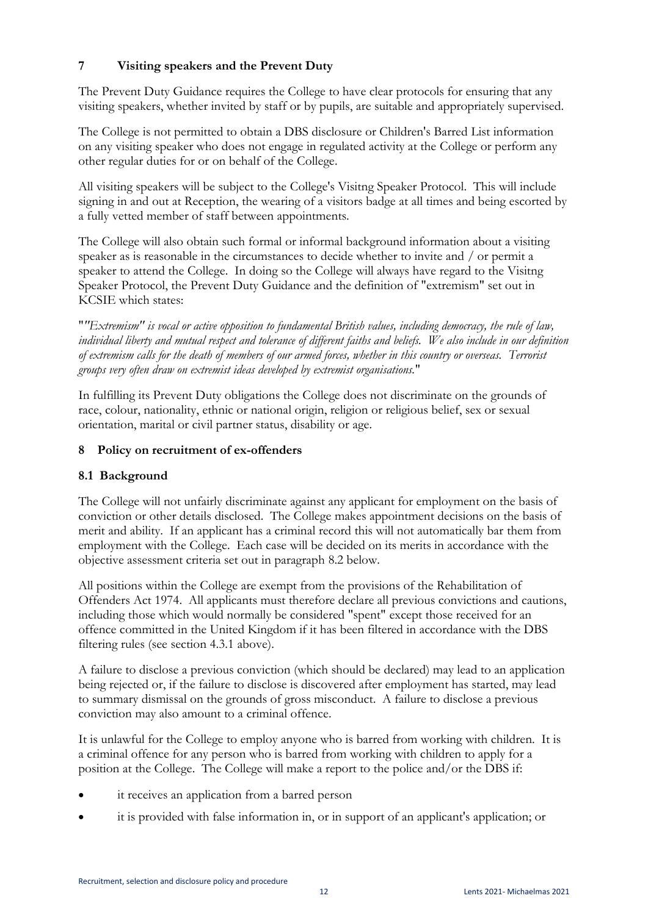# **7 Visiting speakers and the Prevent Duty**

The Prevent Duty Guidance requires the College to have clear protocols for ensuring that any visiting speakers, whether invited by staff or by pupils, are suitable and appropriately supervised.

The College is not permitted to obtain a DBS disclosure or Children's Barred List information on any visiting speaker who does not engage in regulated activity at the College or perform any other regular duties for or on behalf of the College.

All visiting speakers will be subject to the College's Visitng Speaker Protocol. This will include signing in and out at Reception, the wearing of a visitors badge at all times and being escorted by a fully vetted member of staff between appointments.

The College will also obtain such formal or informal background information about a visiting speaker as is reasonable in the circumstances to decide whether to invite and / or permit a speaker to attend the College. In doing so the College will always have regard to the Visitng Speaker Protocol, the Prevent Duty Guidance and the definition of "extremism" set out in KCSIE which states:

"*"Extremism" is vocal or active opposition to fundamental British values, including democracy, the rule of law, individual liberty and mutual respect and tolerance of different faiths and beliefs. We also include in our definition of extremism calls for the death of members of our armed forces, whether in this country or overseas. Terrorist groups very often draw on extremist ideas developed by extremist organisations.*"

In fulfilling its Prevent Duty obligations the College does not discriminate on the grounds of race, colour, nationality, ethnic or national origin, religion or religious belief, sex or sexual orientation, marital or civil partner status, disability or age.

### **8 Policy on recruitment of ex-offenders**

# **8.1 Background**

The College will not unfairly discriminate against any applicant for employment on the basis of conviction or other details disclosed. The College makes appointment decisions on the basis of merit and ability. If an applicant has a criminal record this will not automatically bar them from employment with the College. Each case will be decided on its merits in accordance with the objective assessment criteria set out in paragraph 8.2 below.

All positions within the College are exempt from the provisions of the Rehabilitation of Offenders Act 1974. All applicants must therefore declare all previous convictions and cautions, including those which would normally be considered "spent" except those received for an offence committed in the United Kingdom if it has been filtered in accordance with the DBS filtering rules (see section 4.3.1 above).

A failure to disclose a previous conviction (which should be declared) may lead to an application being rejected or, if the failure to disclose is discovered after employment has started, may lead to summary dismissal on the grounds of gross misconduct. A failure to disclose a previous conviction may also amount to a criminal offence.

It is unlawful for the College to employ anyone who is barred from working with children. It is a criminal offence for any person who is barred from working with children to apply for a position at the College. The College will make a report to the police and/or the DBS if:

- it receives an application from a barred person
- it is provided with false information in, or in support of an applicant's application; or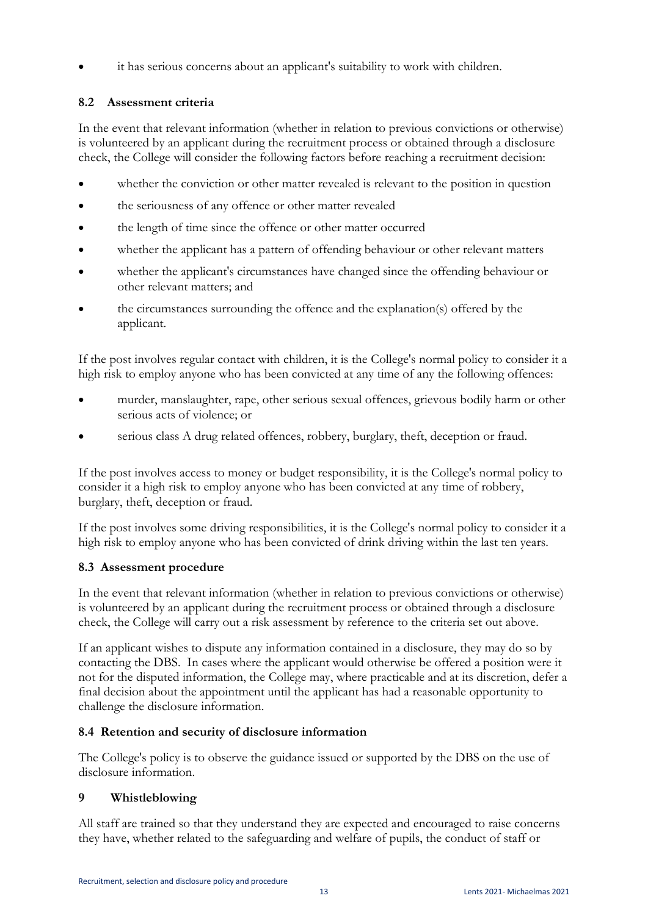it has serious concerns about an applicant's suitability to work with children.

# **8.2 Assessment criteria**

In the event that relevant information (whether in relation to previous convictions or otherwise) is volunteered by an applicant during the recruitment process or obtained through a disclosure check, the College will consider the following factors before reaching a recruitment decision:

- whether the conviction or other matter revealed is relevant to the position in question
- the seriousness of any offence or other matter revealed
- the length of time since the offence or other matter occurred
- whether the applicant has a pattern of offending behaviour or other relevant matters
- whether the applicant's circumstances have changed since the offending behaviour or other relevant matters; and
- the circumstances surrounding the offence and the explanation(s) offered by the applicant.

If the post involves regular contact with children, it is the College's normal policy to consider it a high risk to employ anyone who has been convicted at any time of any the following offences:

- murder, manslaughter, rape, other serious sexual offences, grievous bodily harm or other serious acts of violence; or
- serious class A drug related offences, robbery, burglary, theft, deception or fraud.

If the post involves access to money or budget responsibility, it is the College's normal policy to consider it a high risk to employ anyone who has been convicted at any time of robbery, burglary, theft, deception or fraud.

If the post involves some driving responsibilities, it is the College's normal policy to consider it a high risk to employ anyone who has been convicted of drink driving within the last ten years.

# **8.3 Assessment procedure**

In the event that relevant information (whether in relation to previous convictions or otherwise) is volunteered by an applicant during the recruitment process or obtained through a disclosure check, the College will carry out a risk assessment by reference to the criteria set out above.

If an applicant wishes to dispute any information contained in a disclosure, they may do so by contacting the DBS. In cases where the applicant would otherwise be offered a position were it not for the disputed information, the College may, where practicable and at its discretion, defer a final decision about the appointment until the applicant has had a reasonable opportunity to challenge the disclosure information.

# **8.4 Retention and security of disclosure information**

The College's policy is to observe the guidance issued or supported by the DBS on the use of disclosure information.

# **9 Whistleblowing**

All staff are trained so that they understand they are expected and encouraged to raise concerns they have, whether related to the safeguarding and welfare of pupils, the conduct of staff or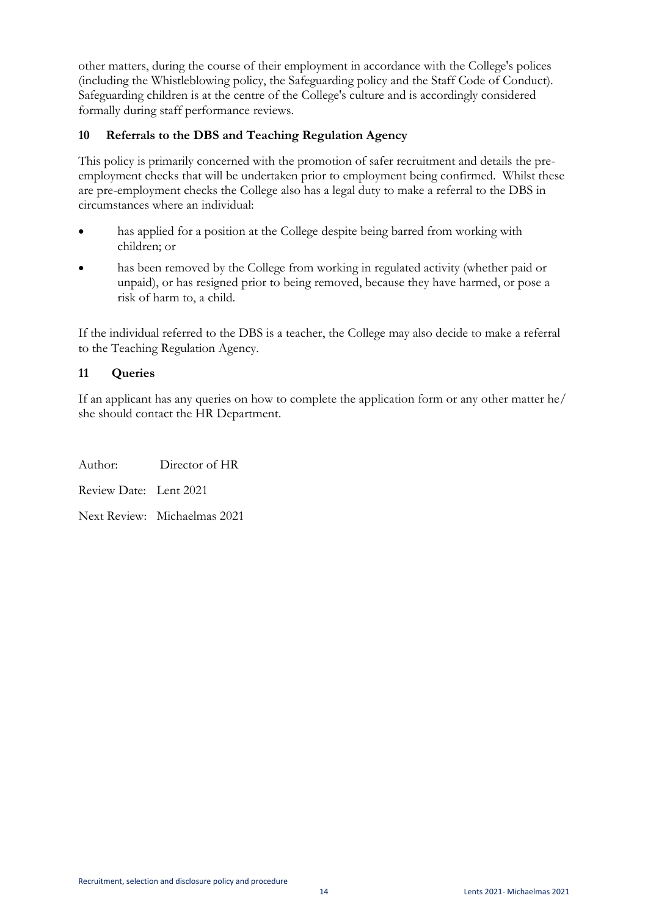other matters, during the course of their employment in accordance with the College's polices (including the Whistleblowing policy, the Safeguarding policy and the Staff Code of Conduct). Safeguarding children is at the centre of the College's culture and is accordingly considered formally during staff performance reviews.

### **10 Referrals to the DBS and Teaching Regulation Agency**

This policy is primarily concerned with the promotion of safer recruitment and details the preemployment checks that will be undertaken prior to employment being confirmed. Whilst these are pre-employment checks the College also has a legal duty to make a referral to the DBS in circumstances where an individual:

- has applied for a position at the College despite being barred from working with children; or
- has been removed by the College from working in regulated activity (whether paid or unpaid), or has resigned prior to being removed, because they have harmed, or pose a risk of harm to, a child.

If the individual referred to the DBS is a teacher, the College may also decide to make a referral to the Teaching Regulation Agency.

### **11 Queries**

If an applicant has any queries on how to complete the application form or any other matter he/ she should contact the HR Department.

Author: Director of HR Review Date: Lent 2021

Next Review: Michaelmas 2021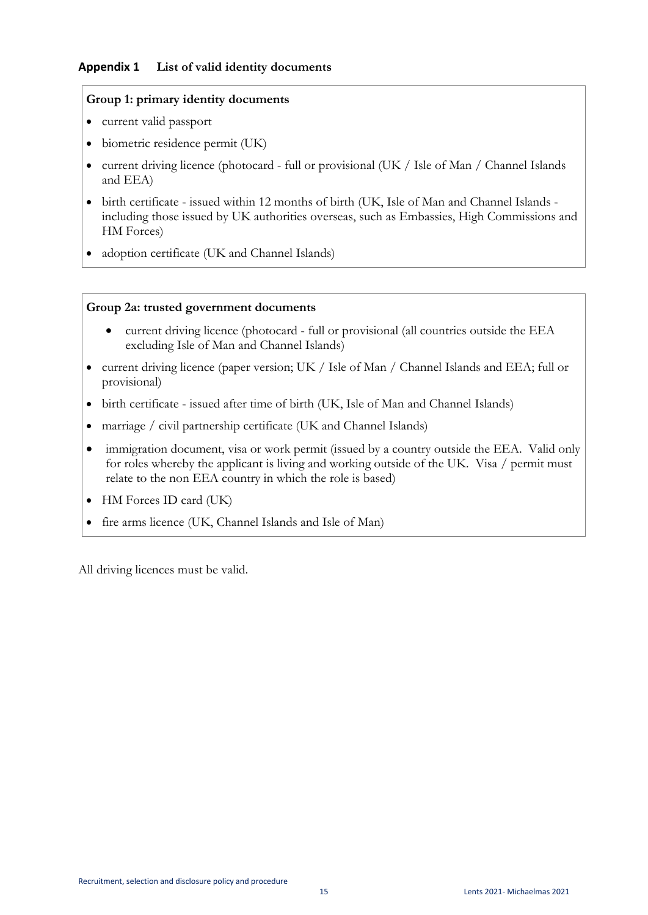#### **Appendix 1 List of valid identity documents**

#### **Group 1: primary identity documents**

- current valid passport
- biometric residence permit (UK)
- current driving licence (photocard full or provisional (UK / Isle of Man / Channel Islands and EEA)
- birth certificate issued within 12 months of birth (UK, Isle of Man and Channel Islands including those issued by UK authorities overseas, such as Embassies, High Commissions and HM Forces)
- adoption certificate (UK and Channel Islands)

#### **Group 2a: trusted government documents**

- current driving licence (photocard full or provisional (all countries outside the EEA excluding Isle of Man and Channel Islands)
- current driving licence (paper version; UK / Isle of Man / Channel Islands and EEA; full or provisional)
- birth certificate issued after time of birth (UK, Isle of Man and Channel Islands)
- marriage / civil partnership certificate (UK and Channel Islands)
- immigration document, visa or work permit (issued by a country outside the EEA. Valid only for roles whereby the applicant is living and working outside of the UK. Visa / permit must relate to the non EEA country in which the role is based)
- HM Forces ID card (UK)
- fire arms licence (UK, Channel Islands and Isle of Man)

All driving licences must be valid.